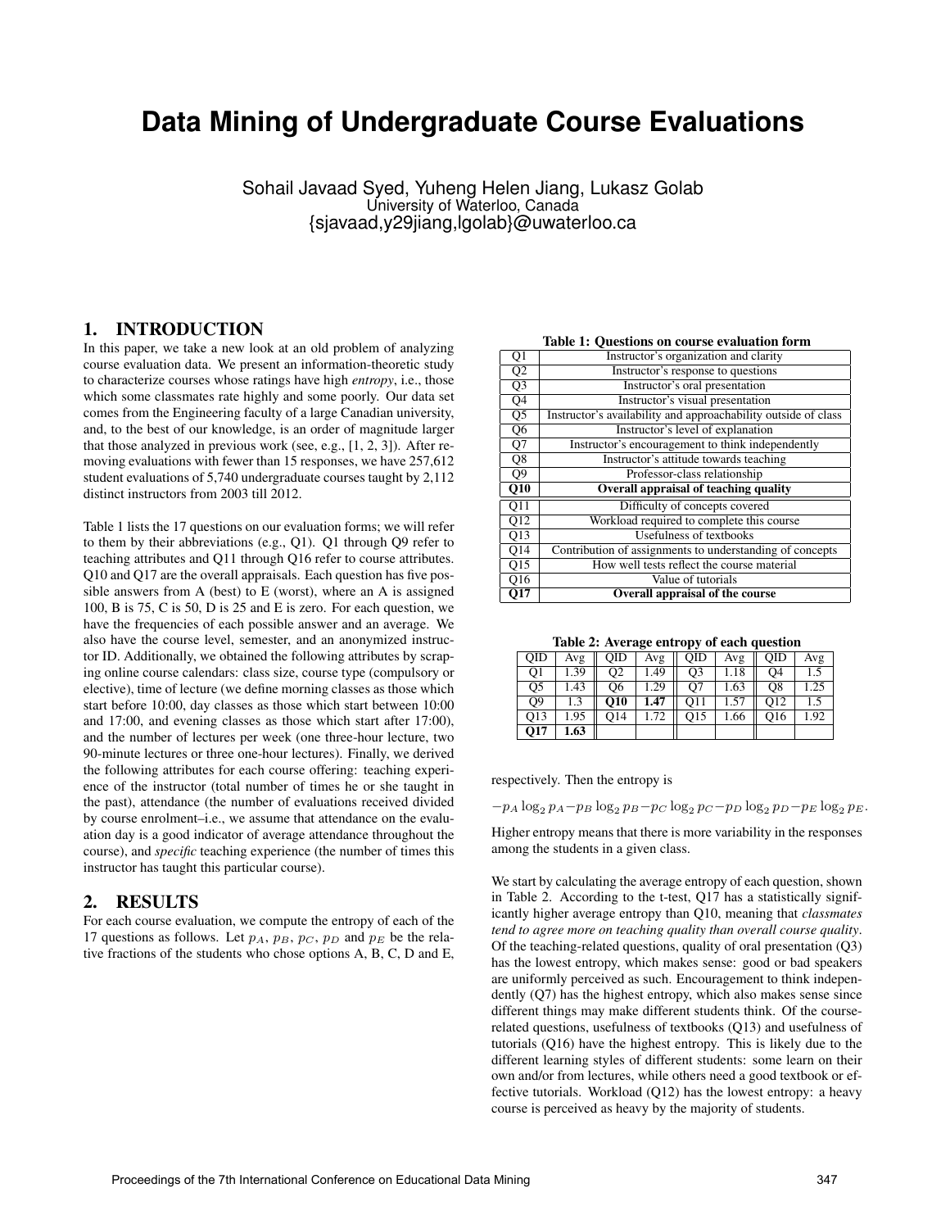# **Data Mining of Undergraduate Course Evaluations**

Sohail Javaad Syed, Yuheng Helen Jiang, Lukasz Golab University of Waterloo, Canada {sjavaad,y29jiang,lgolab}@uwaterloo.ca

### 1. INTRODUCTION

In this paper, we take a new look at an old problem of analyzing course evaluation data. We present an information-theoretic study to characterize courses whose ratings have high *entropy*, i.e., those which some classmates rate highly and some poorly. Our data set comes from the Engineering faculty of a large Canadian university, and, to the best of our knowledge, is an order of magnitude larger that those analyzed in previous work (see, e.g., [1, 2, 3]). After removing evaluations with fewer than 15 responses, we have 257,612 student evaluations of 5,740 undergraduate courses taught by 2,112 distinct instructors from 2003 till 2012.

Table 1 lists the 17 questions on our evaluation forms; we will refer to them by their abbreviations (e.g., Q1). Q1 through Q9 refer to teaching attributes and Q11 through Q16 refer to course attributes. Q10 and Q17 are the overall appraisals. Each question has five possible answers from A (best) to E (worst), where an A is assigned 100, B is 75, C is 50, D is 25 and E is zero. For each question, we have the frequencies of each possible answer and an average. We also have the course level, semester, and an anonymized instructor ID. Additionally, we obtained the following attributes by scraping online course calendars: class size, course type (compulsory or elective), time of lecture (we define morning classes as those which start before 10:00, day classes as those which start between 10:00 and 17:00, and evening classes as those which start after 17:00), and the number of lectures per week (one three-hour lecture, two 90-minute lectures or three one-hour lectures). Finally, we derived the following attributes for each course offering: teaching experience of the instructor (total number of times he or she taught in the past), attendance (the number of evaluations received divided by course enrolment–i.e., we assume that attendance on the evaluation day is a good indicator of average attendance throughout the course), and *specific* teaching experience (the number of times this instructor has taught this particular course).

#### 2. RESULTS

For each course evaluation, we compute the entropy of each of the 17 questions as follows. Let  $p_A$ ,  $p_B$ ,  $p_C$ ,  $p_D$  and  $p_E$  be the relative fractions of the students who chose options A, B, C, D and E,

Q1 Instructor's organization and clarity Q2 Instructor's response to questions Q3 Instructor's oral presentation<br>Q4 Instructor's visual presentation Q4 Instructor's visual presentation<br>Q5 Instructor's availability and approachability of Instructor's availability and approachability outside of class Q6 Instructor's level of explanation Q7 Instructor's encouragement to think independently Q8 Instructor's attitude towards teaching Q9 Professor-class relationship<br> **Q10** Overall appraisal of teaching qu Overall appraisal of teaching quality Q11 Difficulty of concepts covered Q12 Workload required to complete this course<br>Q13 Usefulness of textbooks Q13 Usefulness of textbooks<br>Q14 Contribution of assignments to understan Contribution of assignments to understanding of concepts Q15 How well tests reflect the course material<br>016 Value of tutorials Value of tutorials Q17 Overall appraisal of the course

Table 1: Questions on course evaluation form

|  | Table 2: Average entropy of each question |  |  |  |  |
|--|-------------------------------------------|--|--|--|--|
|--|-------------------------------------------|--|--|--|--|

| <b>OID</b>      | Avg  | <b>OID</b>     | Avg  | QID             | Avg  | <b>OID</b>      | Avg  |
|-----------------|------|----------------|------|-----------------|------|-----------------|------|
| O <sub>1</sub>  | 1.39 | O <sub>2</sub> | 1.49 | O <sub>3</sub>  | 1.18 | O4              | 1.5  |
| Q <sub>5</sub>  | 1.43 | O <sub>6</sub> | 1.29 | O7              | 1.63 | O <sub>8</sub>  | 1.25 |
| O <sub>9</sub>  | 1.3  | <b>O10</b>     | 1.47 | O11             | 1.57 | O <sub>12</sub> | 1.5  |
| O <sub>13</sub> | 1.95 | O14            | 1.72 | O <sub>15</sub> | 1.66 | O <sub>16</sub> | 1.92 |
| <b>O17</b>      | 1.63 |                |      |                 |      |                 |      |

respectively. Then the entropy is

 $-p_A \log_2 p_A-p_B \log_2 p_B-p_C \log_2 p_C-p_D \log_2 p_D-p_E \log_2 p_E$ .

Higher entropy means that there is more variability in the responses among the students in a given class.

We start by calculating the average entropy of each question, shown in Table 2. According to the t-test, Q17 has a statistically significantly higher average entropy than Q10, meaning that *classmates tend to agree more on teaching quality than overall course quality*. Of the teaching-related questions, quality of oral presentation (Q3) has the lowest entropy, which makes sense: good or bad speakers are uniformly perceived as such. Encouragement to think independently (Q7) has the highest entropy, which also makes sense since different things may make different students think. Of the courserelated questions, usefulness of textbooks (Q13) and usefulness of tutorials (Q16) have the highest entropy. This is likely due to the different learning styles of different students: some learn on their own and/or from lectures, while others need a good textbook or effective tutorials. Workload (Q12) has the lowest entropy: a heavy course is perceived as heavy by the majority of students.